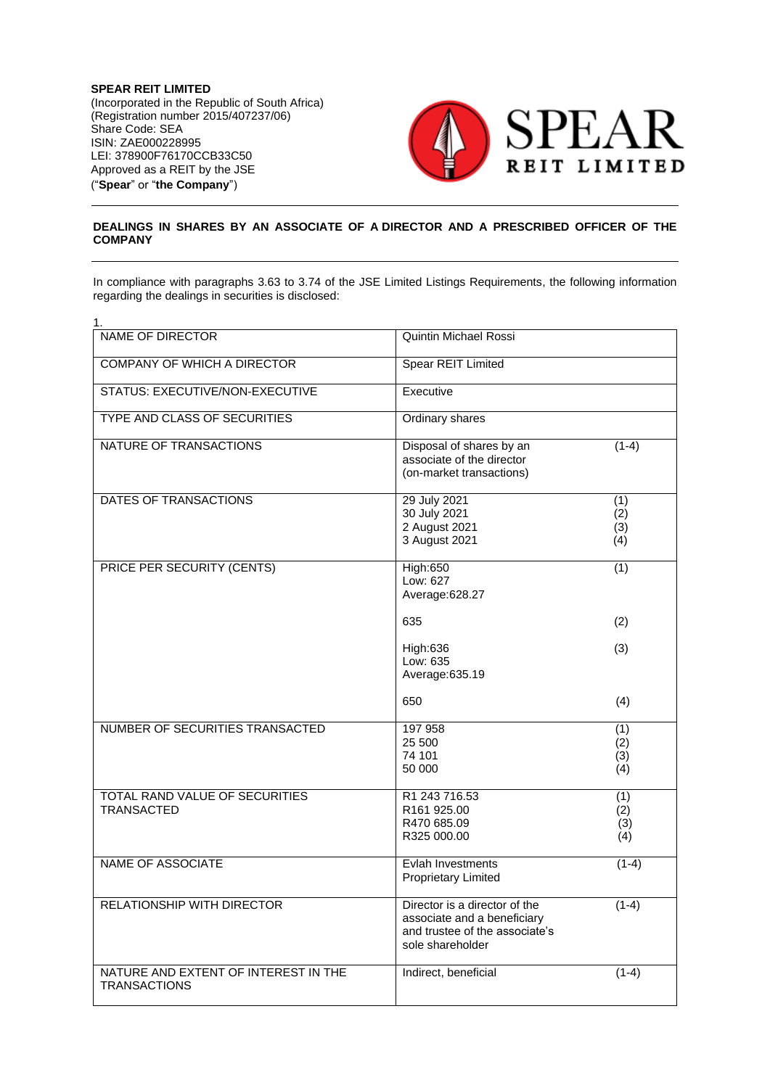**SPEAR REIT LIMITED** (Incorporated in the Republic of South Africa) (Registration number 2015/407237/06) Share Code: SEA ISIN: ZAE000228995 LEI: 378900F76170CCB33C50 Approved as a REIT by the JSE ("**Spear**" or "**the Company**")



## **DEALINGS IN SHARES BY AN ASSOCIATE OF A DIRECTOR AND A PRESCRIBED OFFICER OF THE COMPANY**

In compliance with paragraphs 3.63 to 3.74 of the JSE Limited Listings Requirements, the following information regarding the dealings in securities is disclosed:

| 1.                                                          |                                                                                                                    |                          |
|-------------------------------------------------------------|--------------------------------------------------------------------------------------------------------------------|--------------------------|
| <b>NAME OF DIRECTOR</b>                                     | Quintin Michael Rossi                                                                                              |                          |
| <b>COMPANY OF WHICH A DIRECTOR</b>                          | <b>Spear REIT Limited</b>                                                                                          |                          |
| STATUS: EXECUTIVE/NON-EXECUTIVE                             | Executive                                                                                                          |                          |
| <b>TYPE AND CLASS OF SECURITIES</b>                         | Ordinary shares                                                                                                    |                          |
| NATURE OF TRANSACTIONS                                      | Disposal of shares by an<br>associate of the director<br>(on-market transactions)                                  | $(1-4)$                  |
| DATES OF TRANSACTIONS                                       | 29 July 2021<br>30 July 2021<br>2 August 2021<br>3 August 2021                                                     | (1)<br>(2)<br>(3)<br>(4) |
| PRICE PER SECURITY (CENTS)                                  | <b>High:650</b><br>Low: 627<br>Average: 628.27                                                                     | (1)                      |
|                                                             | 635                                                                                                                | (2)                      |
|                                                             | High:636<br>Low: 635<br>Average: 635.19                                                                            | (3)                      |
|                                                             | 650                                                                                                                | (4)                      |
| NUMBER OF SECURITIES TRANSACTED                             | 197 958<br>25 500<br>74 101<br>50 000                                                                              | (1)<br>(2)<br>(3)<br>(4) |
| TOTAL RAND VALUE OF SECURITIES<br><b>TRANSACTED</b>         | R1 243 716.53<br>R161 925.00<br>R470 685.09<br>R325 000.00                                                         | (1)<br>(2)<br>(3)<br>(4) |
| NAME OF ASSOCIATE                                           | Evlah Investments<br><b>Proprietary Limited</b>                                                                    | $(1-4)$                  |
| <b>RELATIONSHIP WITH DIRECTOR</b>                           | Director is a director of the<br>associate and a beneficiary<br>and trustee of the associate's<br>sole shareholder | $(1-4)$                  |
| NATURE AND EXTENT OF INTEREST IN THE<br><b>TRANSACTIONS</b> | Indirect, beneficial                                                                                               | $(1-4)$                  |